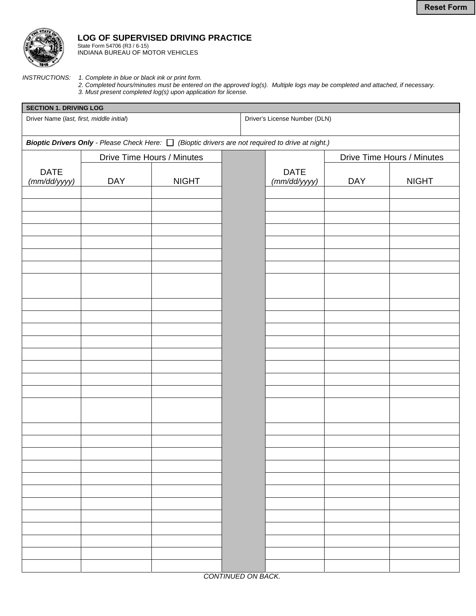

## **LOG OF SUPERVISED DRIVING PRACTICE**

State Form 54706 (R3 / 6-15) INDIANA BUREAU OF MOTOR VEHICLES

*INSTRUCTIONS: 1. Complete in blue or black ink or print form.* 

*2. Completed hours/minutes must be entered on the approved log(s). Multiple logs may be completed and attached, if necessary. 3. Must present completed log(s) upon application for license.* 

| <b>SECTION 1. DRIVING LOG</b>                                                                                 |                            |              |                    |                               |                            |              |  |  |  |
|---------------------------------------------------------------------------------------------------------------|----------------------------|--------------|--------------------|-------------------------------|----------------------------|--------------|--|--|--|
| Driver Name (last, first, middle initial)                                                                     |                            |              |                    | Driver's License Number (DLN) |                            |              |  |  |  |
| <b>Bioptic Drivers Only</b> - Please Check Here: $\Box$ (Bioptic drivers are not required to drive at night.) |                            |              |                    |                               |                            |              |  |  |  |
|                                                                                                               | Drive Time Hours / Minutes |              |                    |                               | Drive Time Hours / Minutes |              |  |  |  |
| <b>DATE</b><br>(mm/dd/yyyy)                                                                                   | <b>DAY</b>                 | <b>NIGHT</b> |                    | <b>DATE</b><br>(mm/dd/yyyy)   | <b>DAY</b>                 | <b>NIGHT</b> |  |  |  |
|                                                                                                               |                            |              |                    |                               |                            |              |  |  |  |
|                                                                                                               |                            |              |                    |                               |                            |              |  |  |  |
|                                                                                                               |                            |              |                    |                               |                            |              |  |  |  |
|                                                                                                               |                            |              |                    |                               |                            |              |  |  |  |
|                                                                                                               |                            |              |                    |                               |                            |              |  |  |  |
|                                                                                                               |                            |              |                    |                               |                            |              |  |  |  |
|                                                                                                               |                            |              |                    |                               |                            |              |  |  |  |
|                                                                                                               |                            |              |                    |                               |                            |              |  |  |  |
|                                                                                                               |                            |              |                    |                               |                            |              |  |  |  |
|                                                                                                               |                            |              |                    |                               |                            |              |  |  |  |
|                                                                                                               |                            |              |                    |                               |                            |              |  |  |  |
|                                                                                                               |                            |              |                    |                               |                            |              |  |  |  |
|                                                                                                               |                            |              |                    |                               |                            |              |  |  |  |
|                                                                                                               |                            |              |                    |                               |                            |              |  |  |  |
|                                                                                                               |                            |              | CONTINUED ON BACK. |                               |                            |              |  |  |  |